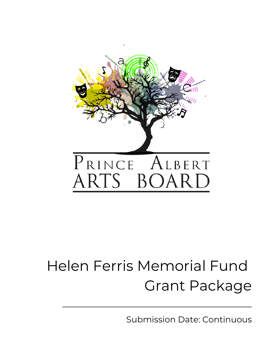

# Helen Ferris Memorial Fund Grant Package

Submission Date: Continuous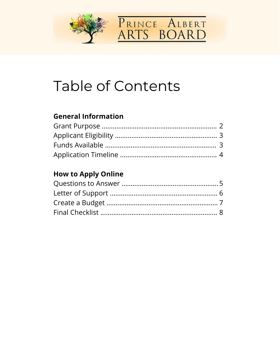



# **Table of Contents**

#### **General Information**

#### **How to Apply Online**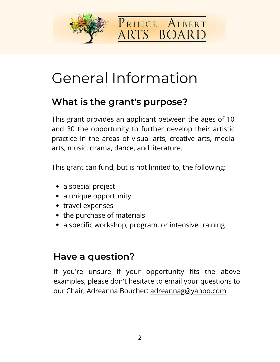



# General Information

#### **What is the grant's purpose?**

This grant provides an applicant between the ages of 10 and 30 the opportunity to further develop their artistic practice in the areas of visual arts, creative arts, media arts, music, drama, dance, and literature.

This grant can fund, but is not limited to, the following:

- a special project
- a unique opportunity
- travel expenses
- the purchase of materials
- a specific workshop, program, or intensive training

#### **Have a question?**

If you're unsure if your opportunity fits the above examples, please don't hesitate to email your questions to our Chair, Adreanna Boucher: [adreannag@yahoo.com](mailto:adreannag@yahoo.com)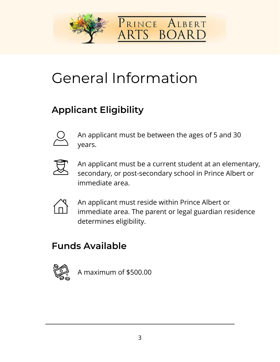



# General Information

### **Applicant Eligibility**



An applicant must be between the ages of 5 and 30 years.



An applicant must be a current student at an elementary, secondary, or post-secondary school in Prince Albert or immediate area.



An applicant must reside within Prince Albert or immediate area. The parent or legal guardian residence determines eligibility.

#### **Funds Available**



A maximum of \$500.00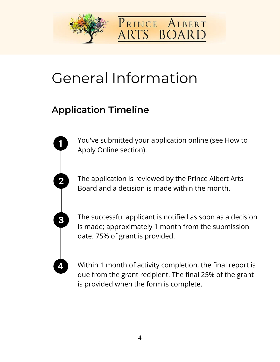



# General Information

#### **Application Timeline**

You've submitted your application online (see How to Apply Online section).

The application is reviewed by the Prince Albert Arts Board and a decision is made within the month.

The successful applicant is notified as soon as a decision is made; approximately 1 month from the submission date. 75% of grant is provided.

Within 1 month of activity completion, the final report is due from the grant recipient. The final 25% of the grant is provided when the form is complete.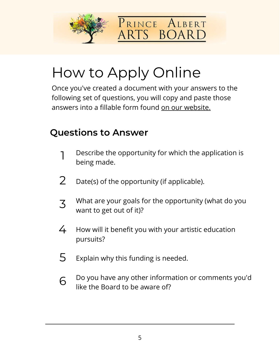



Once you've created a document with your answers to the following set of questions, you will copy and paste those answers into a fillable form found [on our website.](https://www.princealbertarts.ca/)

#### **Questions to Answer**

- Describe the opportunity for which the application is being made. 1
- Date(s) of the opportunity (if applicable). 2
- What are your goals for the opportunity (what do you want to get out of it)? 3
- How will it benefit you with your artistic education pursuits? 4
- Explain why this funding is needed. 5
- Do you have any other information or comments you'd like the Board to be aware of? 6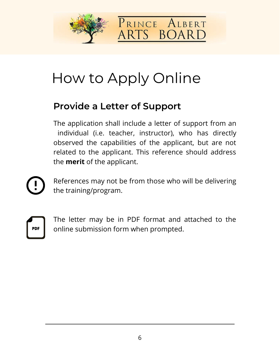



#### **Provide a Letter of Support**

The application shall include a letter of support from an individual (i.e. teacher, instructor), who has directly observed the capabilities of the applicant, but are not related to the applicant. This reference should address the **merit** of the applicant.

References may not be from those who will be delivering the training/program.



The letter may be in PDF format and attached to the online submission form when prompted.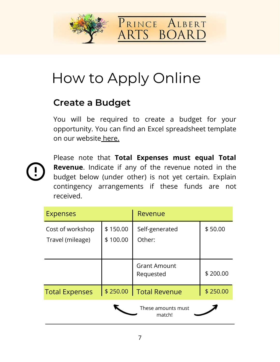



#### **Create a Budget**

You will be required to create a budget for your opportunity. You can find an Excel spreadsheet template on our websit[e here.](https://www.princealbertarts.ca/)



Please note that **Total Expenses must equal Total Revenue**. Indicate if any of the revenue noted in the budget below (under other) is not yet certain. Explain contingency arrangements if these funds are not received.

| <b>Expenses</b>                      |                      | Revenue                          |          |
|--------------------------------------|----------------------|----------------------------------|----------|
| Cost of workshop<br>Travel (mileage) | \$150.00<br>\$100.00 | Self-generated<br>Other:         | \$50.00  |
|                                      |                      | <b>Grant Amount</b><br>Requested | \$200.00 |
| <b>Total Expenses</b>                | \$250.00             | Total Revenue                    | \$250.00 |
|                                      |                      | These amounts must<br>match!     |          |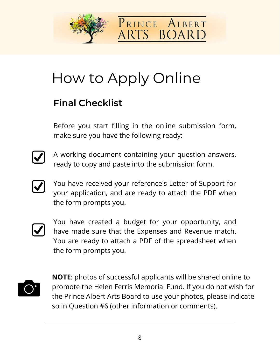



#### **Final Checklist**

Before you start filling in the online submission form, make sure you have the following ready:



A working document containing your question answers, ready to copy and paste into the submission form.



You have received your reference's Letter of Support for your application, and are ready to attach the PDF when the form prompts you.



You have created a budget for your opportunity, and have made sure that the Expenses and Revenue match. You are ready to attach a PDF of the spreadsheet when the form prompts you.



**NOTE**: photos of successful applicants will be shared online to promote the Helen Ferris Memorial Fund. If you do not wish for the Prince Albert Arts Board to use your photos, please indicate so in Question #6 (other information or comments).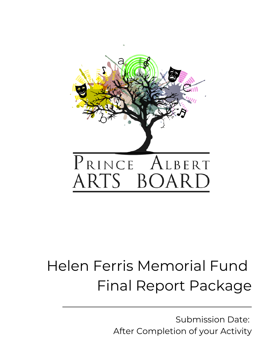

# Helen Ferris Memorial Fund Final Report Package

Submission Date: After Completion of your Activity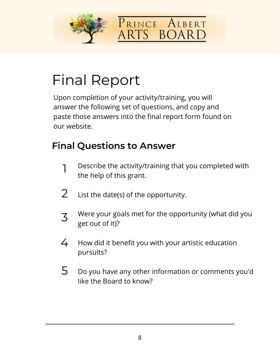



# Final Report

Upon completion of your activity/training, you will answer the following set of questions, and copy and [paste those answers into the final report form found on](https://www.princealbertarts.ca/) our website.

#### **Final Questions to Answer**

- Describe the activity/training that you completed with the help of this grant. 1
- List the date(s) of the opportunity. 2
- Were your goals met for the opportunity (what did you get out of it)? 3
- How did it benefit you with your artistic education pursuits? 4
- Do you have any other information or comments you'd like the Board to know? 5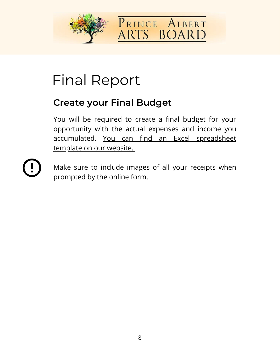



# Final Report

#### **Create your Final Budget**

You will be required to create a final budget for your opportunity with the actual expenses and income you accumulated. You can find an Excel spreadsheet template on our website.



Make sure to include images of all your receipts when prompted by the online form.